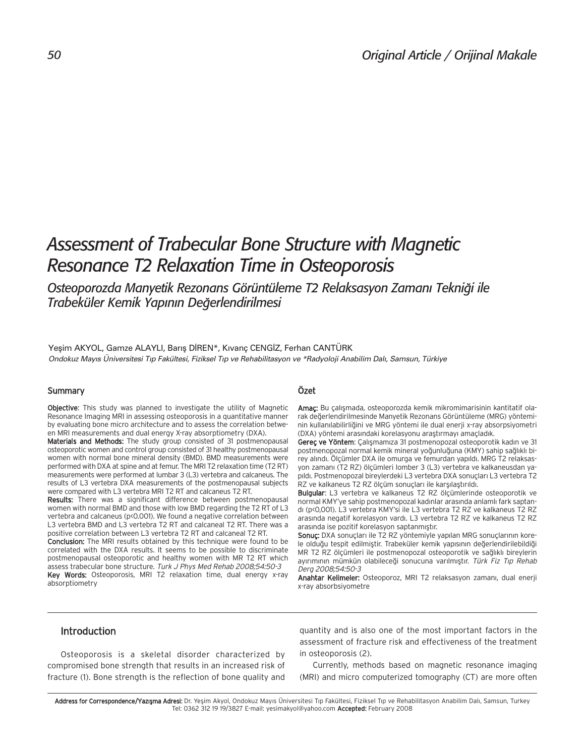# *Assessment of Trabecular Bone Structure with Magnetic Resonance T2 Relaxation Time in Osteoporosis*

Osteoporozda Manyetik Rezonans Görüntüleme T2 Relaksasyon Zamanı Tekniği ile *Trabeküler Kemik Yap›n›n De¤erlendirilmesi*

Yeşim AKYOL, Gamze ALAYLI, Barış DİREN\*, Kıvanç CENGİZ, Ferhan CANTÜRK Ondokuz Mayıs Üniversitesi Tıp Fakültesi, Fiziksel Tıp ve Rehabilitasyon ve \*Radyoloji Anabilim Dalı, Samsun, Türkiye

#### Summary

Objective: This study was planned to investigate the utility of Magnetic Resonance Imaging MRI in assessing osteoporosis in a quantitative manner by evaluating bone micro architecture and to assess the correlation between MRI measurements and dual energy X-ray absorptiometry (DXA).

Materials and Methods: The study group consisted of 31 postmenopausal osteoporotic women and control group consisted of 31 healthy postmenopausal women with normal bone mineral density (BMD). BMD measurements were performed with DXA at spine and at femur. The MRI T2 relaxation time (T2 RT) measurements were performed at lumbar 3 (L3) vertebra and calcaneus. The results of L3 vertebra DXA measurements of the postmenopausal subjects were compared with L3 vertebra MRI T2 RT and calcaneus T2 RT.

Results: There was a significant difference between postmenopausal women with normal BMD and those with low BMD regarding the T2 RT of L3 vertebra and calcaneus (p<0.001). We found a negative correlation between L3 vertebra BMD and L3 vertebra T2 RT and calcaneal T2 RT. There was a positive correlation between L3 vertebra T2 RT and calcaneal T2 RT.

Conclusion: The MRI results obtained by this technique were found to be correlated with the DXA results. It seems to be possible to discriminate postmenopausal osteoporotic and healthy women with MR T2 RT which assess trabecular bone structure. Turk J Phys Med Rehab 2008;54:50-3 Key Words: Osteoporosis, MRI T2 relaxation time, dual energy x-ray absorptiometry

#### Özet

Amaç: Bu çalışmada, osteoporozda kemik mikromimarisinin kantitatif olarak değerlendirilmesinde Manyetik Rezonans Görüntüleme (MRG) yönteminin kullanılabilirliğini ve MRG yöntemi ile dual enerji x-ray absorpsiyometri (DXA) yöntemi arasındaki korelasyonu araştırmayı amaçladık.

Gereç ve Yöntem: Çalışmamıza 31 postmenopozal osteoporotik kadın ve 31 postmenopozal normal kemik mineral yoğunluğuna (KMY) sahip sağlıklı birey alındı. Ölçümler DXA ile omurga ve femurdan yapıldı. MRG T2 relaksasyon zamanı (T2 RZ) ölçümleri lomber 3 (L3) vertebra ve kalkaneusdan yapıldı. Postmenopozal bireylerdeki L3 vertebra DXA sonuçları L3 vertebra T2 RZ ve kalkaneus T2 RZ ölçüm sonuçları ile karşılaştırıldı.

Bulgular: L3 vertebra ve kalkaneus T2 RZ ölçümlerinde osteoporotik ve normal KMY'ye sahip postmenopozal kadınlar arasında anlamlı fark saptand› (p<0,001). L3 vertebra KMY'si ile L3 vertebra T2 RZ ve kalkaneus T2 RZ arasında negatif korelasyon vardı. L3 vertebra T2 RZ ve kalkaneus T2 RZ arasında ise pozitif korelasyon saptanmıştır.

Sonuç: DXA sonuçları ile T2 RZ yöntemiyle yapılan MRG sonuçlarının korele olduğu tespit edilmiştir. Trabeküler kemik yapısının değerlendirilebildiği MR T2 RZ ölçümleri ile postmenopozal osteoporotik ve sağlıklı bireylerin ayırımının mümkün olabileceği sonucuna varılmıştır. Türk Fiz Tıp Rehab Derg 2008;54:50-3

Anahtar Kelimeler: Osteoporoz, MRI T2 relaksasyon zamanı, dual enerji x-ray absorbsiyometre

## Introduction

Osteoporosis is a skeletal disorder characterized by compromised bone strength that results in an increased risk of fracture (1). Bone strength is the reflection of bone quality and quantity and is also one of the most important factors in the assessment of fracture risk and effectiveness of the treatment in osteoporosis (2).

Currently, methods based on magnetic resonance imaging (MRI) and micro computerized tomography (CT) are more often

Address for Correspondence/Yazısma Adresi: Dr. Yesim Akyol, Ondokuz Mayıs Üniversitesi Tıp Fakültesi, Fiziksel Tıp ve Rehabilitasyon Anabilim Dalı, Samsun, Turkey Tel: 0362 312 19 19/3827 E-mail: yesimakyol@yahoo.com Accepted: February 2008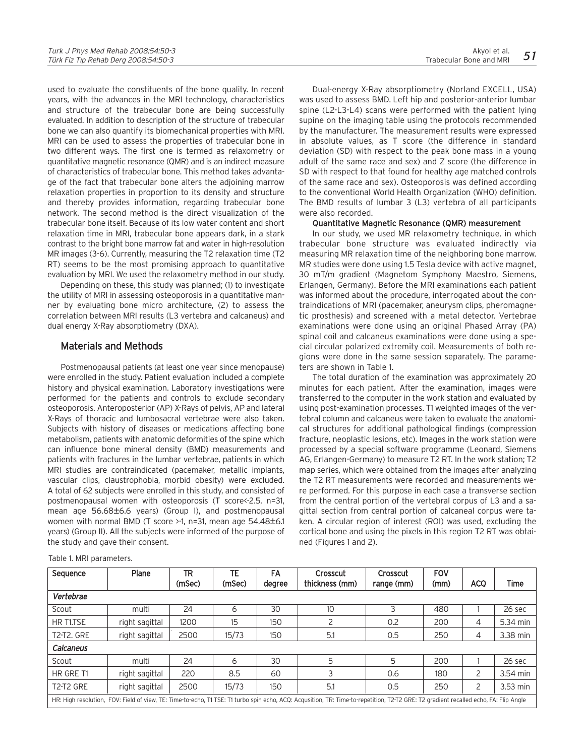used to evaluate the constituents of the bone quality. In recent years, with the advances in the MRI technology, characteristics and structure of the trabecular bone are being successfully evaluated. In addition to description of the structure of trabecular bone we can also quantify its biomechanical properties with MRI. MRI can be used to assess the properties of trabecular bone in two different ways. The first one is termed as relaxometry or quantitative magnetic resonance (QMR) and is an indirect measure of characteristics of trabecular bone. This method takes advantage of the fact that trabecular bone alters the adjoining marrow relaxation properties in proportion to its density and structure and thereby provides information, regarding trabecular bone network. The second method is the direct visualization of the trabecular bone itself. Because of its low water content and short relaxation time in MRI, trabecular bone appears dark, in a stark contrast to the bright bone marrow fat and water in high-resolution MR images (3-6). Currently, measuring the T2 relaxation time (T2 RT) seems to be the most promising approach to quantitative evaluation by MRI. We used the relaxometry method in our study.

Depending on these, this study was planned; (1) to investigate the utility of MRI in assessing osteoporosis in a quantitative manner by evaluating bone micro architecture, (2) to assess the correlation between MRI results (L3 vertebra and calcaneus) and dual energy X-Ray absorptiometry (DXA).

# Materials and Methods

Postmenopausal patients (at least one year since menopause) were enrolled in the study. Patient evaluation included a complete history and physical examination. Laboratory investigations were performed for the patients and controls to exclude secondary osteoporosis. Anteroposterior (AP) X-Rays of pelvis, AP and lateral X-Rays of thoracic and lumbosacral vertebrae were also taken. Subjects with history of diseases or medications affecting bone metabolism, patients with anatomic deformities of the spine which can influence bone mineral density (BMD) measurements and patients with fractures in the lumbar vertebrae, patients in which MRI studies are contraindicated (pacemaker, metallic implants, vascular clips, claustrophobia, morbid obesity) were excluded. A total of 62 subjects were enrolled in this study, and consisted of postmenopausal women with osteoporosis (T score<-2.5, n=31, mean age 56.68±6.6 years) (Group I), and postmenopausal women with normal BMD (T score >-1, n=31, mean age 54.48±6.1 years) (Group II). All the subjects were informed of the purpose of the study and gave their consent.

Dual-energy X-Ray absorptiometry (Norland EXCELL, USA) was used to assess BMD. Left hip and posterior-anterior lumbar spine (L2-L3-L4) scans were performed with the patient lying supine on the imaging table using the protocols recommended by the manufacturer. The measurement results were expressed in absolute values, as T score (the difference in standard deviation (SD) with respect to the peak bone mass in a young adult of the same race and sex) and Z score (the difference in SD with respect to that found for healthy age matched controls of the same race and sex). Osteoporosis was defined according to the conventional World Health Organization (WHO) definition. The BMD results of lumbar 3 (L3) vertebra of all participants

#### Quantitative Magnetic Resonance (QMR) measurement

were also recorded.

In our study, we used MR relaxometry technique, in which trabecular bone structure was evaluated indirectly via measuring MR relaxation time of the neighboring bone marrow. MR studies were done using 1.5 Tesla device with active magnet, 30 mT/m gradient (Magnetom Symphony Maestro, Siemens, Erlangen, Germany). Before the MRI examinations each patient was informed about the procedure, interrogated about the contraindications of MRI (pacemaker, aneurysm clips, pheromagnetic prosthesis) and screened with a metal detector. Vertebrae examinations were done using an original Phased Array (PA) spinal coil and calcaneus examinations were done using a special circular polarized extremity coil. Measurements of both regions were done in the same session separately. The parameters are shown in Table 1.

The total duration of the examination was approximately 20 minutes for each patient. After the examination, images were transferred to the computer in the work station and evaluated by using post-examination processes. T1 weighted images of the vertebral column and calcaneus were taken to evaluate the anatomical structures for additional pathological findings (compression fracture, neoplastic lesions, etc). Images in the work station were processed by a special software programme (Leonard, Siemens AG, Erlangen-Germany) to measure T2 RT. In the work station; T2 map series, which were obtained from the images after analyzing the T2 RT measurements were recorded and measurements were performed. For this purpose in each case a transverse section from the central portion of the vertebral corpus of L3 and a sagittal section from central portion of calcaneal corpus were taken. A circular region of interest (ROI) was used, excluding the cortical bone and using the pixels in this region T2 RT was obtained (Figures 1 and 2).

| Sequence          | Plane                                                                                                                                                                                | TR     | TE.    | FA     | Crosscut       | Crosscut   | FOV  |            |             |
|-------------------|--------------------------------------------------------------------------------------------------------------------------------------------------------------------------------------|--------|--------|--------|----------------|------------|------|------------|-------------|
|                   |                                                                                                                                                                                      | (mSec) | (mSec) | degree | thickness (mm) | range (mm) | (mm) | <b>ACQ</b> | <b>Time</b> |
| Vertebrae         |                                                                                                                                                                                      |        |        |        |                |            |      |            |             |
| Scout             | multi                                                                                                                                                                                | 24     | 6      | 30     | 10             |            | 480  |            | 26 sec      |
| HR T1.TSE         | right sagittal                                                                                                                                                                       | 1200   | 15     | 150    |                | 0.2        | 200  | 4          | 5.34 min    |
| <b>T2-T2, GRE</b> | right sagittal                                                                                                                                                                       | 2500   | 15/73  | 150    | 5.1            | 0.5        | 250  | 4          | 3.38 min    |
| Calcaneus         |                                                                                                                                                                                      |        |        |        |                |            |      |            |             |
| Scout             | multi                                                                                                                                                                                | 24     | 6      | 30     | 5              | 5          | 200  |            | 26 sec      |
| HR GRE T1         | right sagittal                                                                                                                                                                       | 220    | 8.5    | 60     |                | 0.6        | 180  | 2          | 3.54 min    |
| T2-T2 GRE         | right sagittal                                                                                                                                                                       | 2500   | 15/73  | 150    | 5.1            | 0.5        | 250  | 2          | 3.53 min    |
|                   | HR: High resolution, FOV: Field of view, TE: Time-to-echo, T1 TSE: T1 turbo spin echo, ACQ: Acqusition, TR: Time-to-repetition, T2-T2 GRE: T2 gradient recalled echo, FA: Flip Angle |        |        |        |                |            |      |            |             |

Table 1. MRI parameters.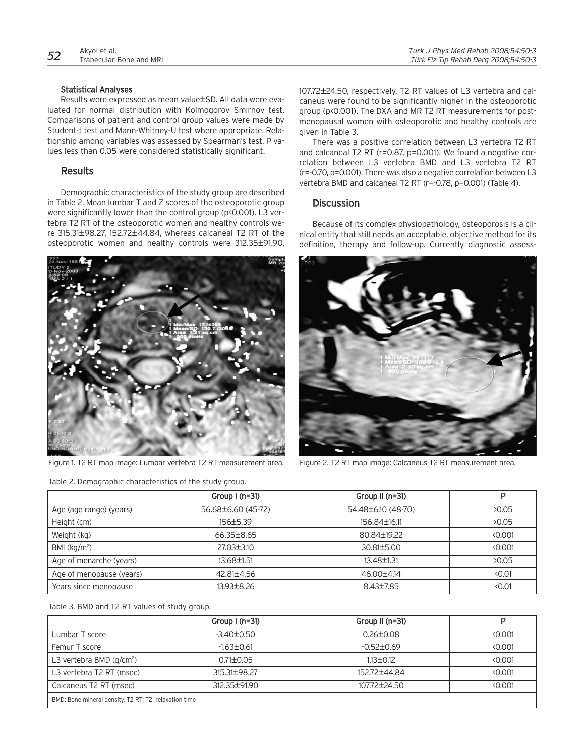#### Statistical Analyses

Results were expressed as mean value±SD. All data were evaluated for normal distribution with Kolmogorov Smirnov test. Comparisons of patient and control group values were made by Student-t test and Mann-Whitney-U test where appropriate. Relationship among variables was assessed by Spearman's test. P values less than 0.05 were considered statistically significant.

## Results

Demographic characteristics of the study group are described in Table 2. Mean lumbar T and Z scores of the osteoporotic group were significantly lower than the control group (p<0.001). L3 vertebra T2 RT of the osteoporotic women and healthy controls were 315.31±98.27, 152.72±44.84, whereas calcaneal T2 RT of the osteoporotic women and healthy controls were 312.35±91.90,



Figure 1. T2 RT map image: Lumbar vertebra T2 RT measurement area. Figure 2. T2 RT map image: Calcaneus T2 RT measurement area.

Table 2. Demographic characteristics of the study group.

107.72±24.50, respectively. T2 RT values of L3 vertebra and calcaneus were found to be significantly higher in the osteoporotic group (p<0.001). The DXA and MR T2 RT measurements for postmenopausal women with osteoporotic and healthy controls are given in Table 3.

There was a positive correlation between L3 vertebra T2 RT and calcaneal T2 RT (r=0.87, p=0.001). We found a negative correlation between L3 vertebra BMD and L3 vertebra T2 RT (r=-0.70, p=0.001). There was also a negative correlation between L3 vertebra BMD and calcaneal T2 RT (r=-0.78, p=0.001) (Table 4).

## **Discussion**

Because of its complex physiopathology, osteoporosis is a clinical entity that still needs an acceptable, objective method for its definition, therapy and follow-up. Currently diagnostic assess-



|                          | Group $I(n=31)$    | Group II (n=31)    | Þ              |
|--------------------------|--------------------|--------------------|----------------|
| Age (age range) (years)  | 56.68±6.60 (45-72) | 54.48±6.10 (48-70) | 20.05          |
| Height (cm)              | 156±5.39           | 156.84±16.11       | 20.05          |
| Weight (kg)              | 66.35±8.65         | 80.84+19.22        | 0.001          |
| BMI $(kq/m^2)$           | 27.03±3.10         | 30.81±5.00         | 0.001          |
| Age of menarche (years)  | $13.68 \pm 1.51$   | 13.48±1.31         | 20.05          |
| Age of menopause (years) | 42.81±4.56         | 46.00±4.14         | < 0.01         |
| Years since menopause    | 13.93±8.26         | $8.43 \pm 7.85$    | $\langle 0.01$ |

Table 3. BMD and T2 RT values of study group.

|                                                      | Group $(n=31)$   | Group II $(n=31)$ | Þ     |  |
|------------------------------------------------------|------------------|-------------------|-------|--|
| Lumbar T score                                       | $-3.40 \pm 0.50$ | $0.26 \pm 0.08$   | 0.001 |  |
| Femur T score                                        | $-1.63 \pm 0.61$ | $-0.52+0.69$      | 0.001 |  |
| L3 vertebra BMD $(q/cm^2)$                           | $0.71 \pm 0.05$  | $113+0.12$        | 0.001 |  |
| L3 vertebra T2 RT (msec)                             | 315.31+98.27     | 152.72+44.84      | 0.001 |  |
| Calcaneus T2 RT (msec)                               | 312.35±91.90     | 107.72±24.50      | 0.001 |  |
| BMD: Bone mineral density, T2 RT: T2 relaxation time |                  |                   |       |  |